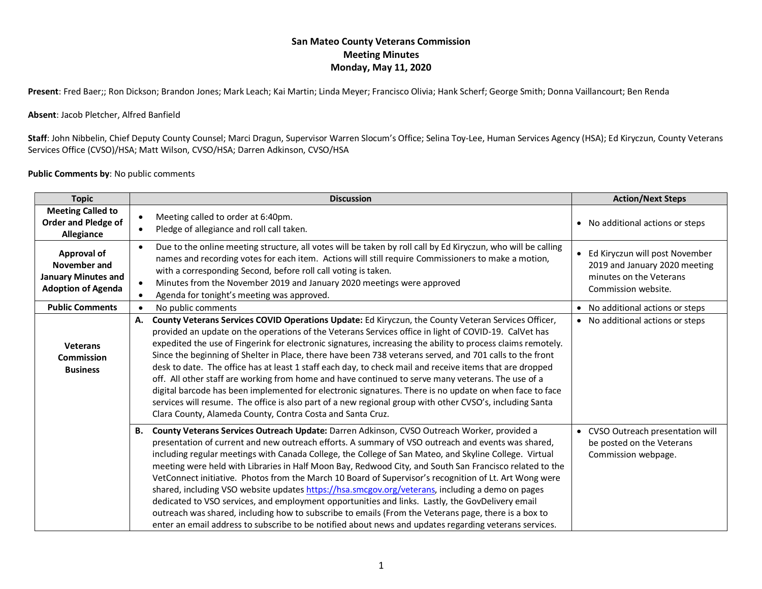## **San Mateo County Veterans Commission Meeting Minutes Monday, May 11, 2020**

**Present**: Fred Baer;; Ron Dickson; Brandon Jones; Mark Leach; Kai Martin; Linda Meyer; Francisco Olivia; Hank Scherf; George Smith; Donna Vaillancourt; Ben Renda

#### **Absent**: Jacob Pletcher, Alfred Banfield

**Staff**: John Nibbelin, Chief Deputy County Counsel; Marci Dragun, Supervisor Warren Slocum's Office; Selina Toy-Lee, Human Services Agency (HSA); Ed Kiryczun, County Veterans Services Office (CVSO)/HSA; Matt Wilson, CVSO/HSA; Darren Adkinson, CVSO/HSA

#### **Public Comments by**: No public comments

| <b>Topic</b>                                                                                  | <b>Discussion</b>                                                                                                                                                                                                                                                                                                                                                                                                                                                                                                                                                                                                                                                                                                                                                                                                                                                                                                                                                | <b>Action/Next Steps</b>                                                                                          |
|-----------------------------------------------------------------------------------------------|------------------------------------------------------------------------------------------------------------------------------------------------------------------------------------------------------------------------------------------------------------------------------------------------------------------------------------------------------------------------------------------------------------------------------------------------------------------------------------------------------------------------------------------------------------------------------------------------------------------------------------------------------------------------------------------------------------------------------------------------------------------------------------------------------------------------------------------------------------------------------------------------------------------------------------------------------------------|-------------------------------------------------------------------------------------------------------------------|
| <b>Meeting Called to</b><br><b>Order and Pledge of</b><br>Allegiance                          | Meeting called to order at 6:40pm.<br>Pledge of allegiance and roll call taken.                                                                                                                                                                                                                                                                                                                                                                                                                                                                                                                                                                                                                                                                                                                                                                                                                                                                                  | • No additional actions or steps                                                                                  |
| <b>Approval of</b><br>November and<br><b>January Minutes and</b><br><b>Adoption of Agenda</b> | Due to the online meeting structure, all votes will be taken by roll call by Ed Kiryczun, who will be calling<br>names and recording votes for each item. Actions will still require Commissioners to make a motion,<br>with a corresponding Second, before roll call voting is taken.<br>Minutes from the November 2019 and January 2020 meetings were approved<br>Agenda for tonight's meeting was approved.                                                                                                                                                                                                                                                                                                                                                                                                                                                                                                                                                   | Ed Kiryczun will post November<br>2019 and January 2020 meeting<br>minutes on the Veterans<br>Commission website. |
| <b>Public Comments</b>                                                                        | No public comments                                                                                                                                                                                                                                                                                                                                                                                                                                                                                                                                                                                                                                                                                                                                                                                                                                                                                                                                               | • No additional actions or steps                                                                                  |
| <b>Veterans</b><br>Commission<br><b>Business</b>                                              | County Veterans Services COVID Operations Update: Ed Kiryczun, the County Veteran Services Officer,<br>А.<br>provided an update on the operations of the Veterans Services office in light of COVID-19. CalVet has<br>expedited the use of Fingerink for electronic signatures, increasing the ability to process claims remotely.<br>Since the beginning of Shelter in Place, there have been 738 veterans served, and 701 calls to the front<br>desk to date. The office has at least 1 staff each day, to check mail and receive items that are dropped<br>off. All other staff are working from home and have continued to serve many veterans. The use of a<br>digital barcode has been implemented for electronic signatures. There is no update on when face to face<br>services will resume. The office is also part of a new regional group with other CVSO's, including Santa<br>Clara County, Alameda County, Contra Costa and Santa Cruz.            | • No additional actions or steps                                                                                  |
|                                                                                               | County Veterans Services Outreach Update: Darren Adkinson, CVSO Outreach Worker, provided a<br>В.<br>presentation of current and new outreach efforts. A summary of VSO outreach and events was shared,<br>including regular meetings with Canada College, the College of San Mateo, and Skyline College. Virtual<br>meeting were held with Libraries in Half Moon Bay, Redwood City, and South San Francisco related to the<br>VetConnect initiative. Photos from the March 10 Board of Supervisor's recognition of Lt. Art Wong were<br>shared, including VSO website updates https://hsa.smcgov.org/veterans, including a demo on pages<br>dedicated to VSO services, and employment opportunities and links. Lastly, the GovDelivery email<br>outreach was shared, including how to subscribe to emails (From the Veterans page, there is a box to<br>enter an email address to subscribe to be notified about news and updates regarding veterans services. | • CVSO Outreach presentation will<br>be posted on the Veterans<br>Commission webpage.                             |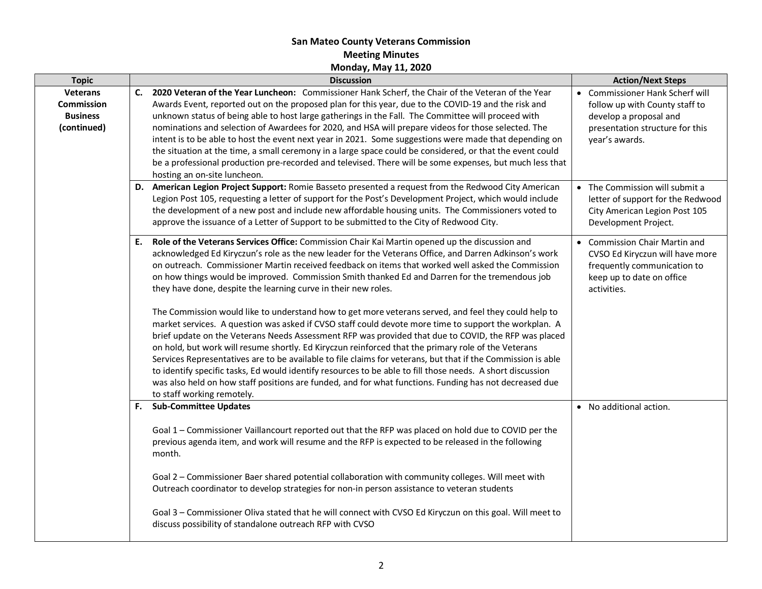## **San Mateo County Veterans Commission Meeting Minutes Monday, May 11, 2020**

| <b>Topic</b>                                                           | <b>Discussion</b>                                                                                                                                                                                                                                                                                                                                                                                                                                                                                                                                                                                                                                                                                                                                                                                                                                                                                                                                                                                                                                                                                                                                                                                                                                                                            | <b>Action/Next Steps</b>                                                                                                                         |
|------------------------------------------------------------------------|----------------------------------------------------------------------------------------------------------------------------------------------------------------------------------------------------------------------------------------------------------------------------------------------------------------------------------------------------------------------------------------------------------------------------------------------------------------------------------------------------------------------------------------------------------------------------------------------------------------------------------------------------------------------------------------------------------------------------------------------------------------------------------------------------------------------------------------------------------------------------------------------------------------------------------------------------------------------------------------------------------------------------------------------------------------------------------------------------------------------------------------------------------------------------------------------------------------------------------------------------------------------------------------------|--------------------------------------------------------------------------------------------------------------------------------------------------|
| <b>Veterans</b><br><b>Commission</b><br><b>Business</b><br>(continued) | C. 2020 Veteran of the Year Luncheon: Commissioner Hank Scherf, the Chair of the Veteran of the Year<br>Awards Event, reported out on the proposed plan for this year, due to the COVID-19 and the risk and<br>unknown status of being able to host large gatherings in the Fall. The Committee will proceed with<br>nominations and selection of Awardees for 2020, and HSA will prepare videos for those selected. The<br>intent is to be able to host the event next year in 2021. Some suggestions were made that depending on<br>the situation at the time, a small ceremony in a large space could be considered, or that the event could<br>be a professional production pre-recorded and televised. There will be some expenses, but much less that<br>hosting an on-site luncheon.                                                                                                                                                                                                                                                                                                                                                                                                                                                                                                  | • Commissioner Hank Scherf will<br>follow up with County staff to<br>develop a proposal and<br>presentation structure for this<br>year's awards. |
|                                                                        | D. American Legion Project Support: Romie Basseto presented a request from the Redwood City American<br>Legion Post 105, requesting a letter of support for the Post's Development Project, which would include<br>the development of a new post and include new affordable housing units. The Commissioners voted to<br>approve the issuance of a Letter of Support to be submitted to the City of Redwood City.                                                                                                                                                                                                                                                                                                                                                                                                                                                                                                                                                                                                                                                                                                                                                                                                                                                                            | • The Commission will submit a<br>letter of support for the Redwood<br>City American Legion Post 105<br>Development Project.                     |
|                                                                        | Role of the Veterans Services Office: Commission Chair Kai Martin opened up the discussion and<br>Е.<br>acknowledged Ed Kiryczun's role as the new leader for the Veterans Office, and Darren Adkinson's work<br>on outreach. Commissioner Martin received feedback on items that worked well asked the Commission<br>on how things would be improved. Commission Smith thanked Ed and Darren for the tremendous job<br>they have done, despite the learning curve in their new roles.<br>The Commission would like to understand how to get more veterans served, and feel they could help to<br>market services. A question was asked if CVSO staff could devote more time to support the workplan. A<br>brief update on the Veterans Needs Assessment RFP was provided that due to COVID, the RFP was placed<br>on hold, but work will resume shortly. Ed Kiryczun reinforced that the primary role of the Veterans<br>Services Representatives are to be available to file claims for veterans, but that if the Commission is able<br>to identify specific tasks, Ed would identify resources to be able to fill those needs. A short discussion<br>was also held on how staff positions are funded, and for what functions. Funding has not decreased due<br>to staff working remotely. | <b>Commission Chair Martin and</b><br>CVSO Ed Kiryczun will have more<br>frequently communication to<br>keep up to date on office<br>activities. |
|                                                                        | F. Sub-Committee Updates<br>Goal 1 - Commissioner Vaillancourt reported out that the RFP was placed on hold due to COVID per the<br>previous agenda item, and work will resume and the RFP is expected to be released in the following<br>month.<br>Goal 2 - Commissioner Baer shared potential collaboration with community colleges. Will meet with<br>Outreach coordinator to develop strategies for non-in person assistance to veteran students<br>Goal 3 - Commissioner Oliva stated that he will connect with CVSO Ed Kiryczun on this goal. Will meet to<br>discuss possibility of standalone outreach RFP with CVSO                                                                                                                                                                                                                                                                                                                                                                                                                                                                                                                                                                                                                                                                 | • No additional action.                                                                                                                          |
|                                                                        |                                                                                                                                                                                                                                                                                                                                                                                                                                                                                                                                                                                                                                                                                                                                                                                                                                                                                                                                                                                                                                                                                                                                                                                                                                                                                              |                                                                                                                                                  |